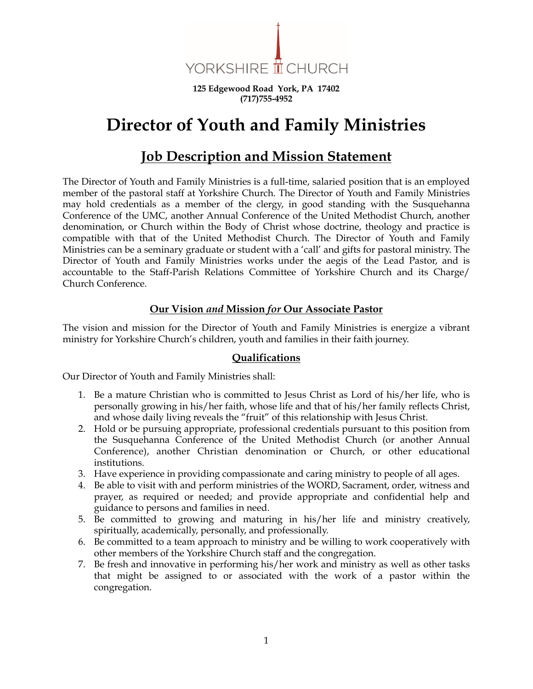

**125 Edgewood Road York, PA 17402 (717)755-4952**

# **Director of Youth and Family Ministries**

## **Job Description and Mission Statement**

The Director of Youth and Family Ministries is a full-time, salaried position that is an employed member of the pastoral staff at Yorkshire Church. The Director of Youth and Family Ministries may hold credentials as a member of the clergy, in good standing with the Susquehanna Conference of the UMC, another Annual Conference of the United Methodist Church, another denomination, or Church within the Body of Christ whose doctrine, theology and practice is compatible with that of the United Methodist Church. The Director of Youth and Family Ministries can be a seminary graduate or student with a 'call' and gifts for pastoral ministry. The Director of Youth and Family Ministries works under the aegis of the Lead Pastor, and is accountable to the Staff-Parish Relations Committee of Yorkshire Church and its Charge/ Church Conference.

#### **Our Vision** *and* **Mission** *for* **Our Associate Pastor**

The vision and mission for the Director of Youth and Family Ministries is energize a vibrant ministry for Yorkshire Church's children, youth and families in their faith journey.

#### **Qualifications**

Our Director of Youth and Family Ministries shall:

- 1. Be a mature Christian who is committed to Jesus Christ as Lord of his/her life, who is personally growing in his/her faith, whose life and that of his/her family reflects Christ, and whose daily living reveals the "fruit" of this relationship with Jesus Christ.
- 2. Hold or be pursuing appropriate, professional credentials pursuant to this position from the Susquehanna Conference of the United Methodist Church (or another Annual Conference), another Christian denomination or Church, or other educational institutions.
- 3. Have experience in providing compassionate and caring ministry to people of all ages.
- 4. Be able to visit with and perform ministries of the WORD, Sacrament, order, witness and prayer, as required or needed; and provide appropriate and confidential help and guidance to persons and families in need.
- 5. Be committed to growing and maturing in his/her life and ministry creatively, spiritually, academically, personally, and professionally.
- 6. Be committed to a team approach to ministry and be willing to work cooperatively with other members of the Yorkshire Church staff and the congregation.
- 7. Be fresh and innovative in performing his/her work and ministry as well as other tasks that might be assigned to or associated with the work of a pastor within the congregation.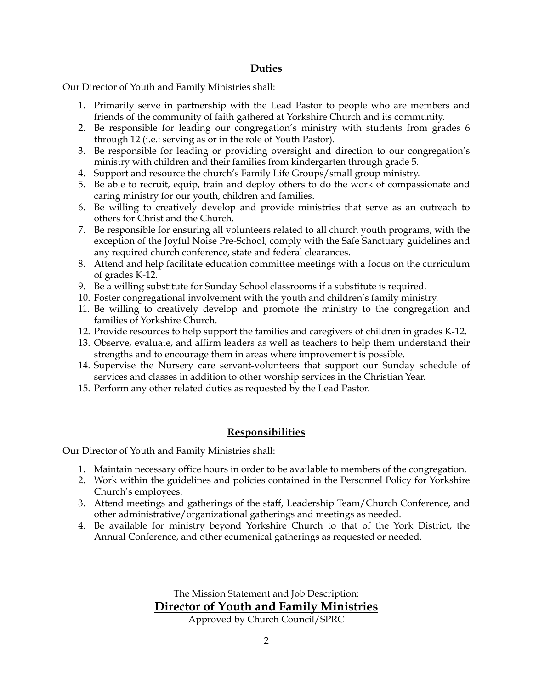#### **Duties**

Our Director of Youth and Family Ministries shall:

- 1. Primarily serve in partnership with the Lead Pastor to people who are members and friends of the community of faith gathered at Yorkshire Church and its community.
- 2. Be responsible for leading our congregation's ministry with students from grades 6 through 12 (i.e.: serving as or in the role of Youth Pastor).
- 3. Be responsible for leading or providing oversight and direction to our congregation's ministry with children and their families from kindergarten through grade 5.
- 4. Support and resource the church's Family Life Groups/small group ministry.
- 5. Be able to recruit, equip, train and deploy others to do the work of compassionate and caring ministry for our youth, children and families.
- 6. Be willing to creatively develop and provide ministries that serve as an outreach to others for Christ and the Church.
- 7. Be responsible for ensuring all volunteers related to all church youth programs, with the exception of the Joyful Noise Pre-School, comply with the Safe Sanctuary guidelines and any required church conference, state and federal clearances.
- 8. Attend and help facilitate education committee meetings with a focus on the curriculum of grades K-12.
- 9. Be a willing substitute for Sunday School classrooms if a substitute is required.
- 10. Foster congregational involvement with the youth and children's family ministry.
- 11. Be willing to creatively develop and promote the ministry to the congregation and families of Yorkshire Church.
- 12. Provide resources to help support the families and caregivers of children in grades K-12.
- 13. Observe, evaluate, and affirm leaders as well as teachers to help them understand their strengths and to encourage them in areas where improvement is possible.
- 14. Supervise the Nursery care servant-volunteers that support our Sunday schedule of services and classes in addition to other worship services in the Christian Year.
- 15. Perform any other related duties as requested by the Lead Pastor.

### **Responsibilities**

Our Director of Youth and Family Ministries shall:

- 1. Maintain necessary office hours in order to be available to members of the congregation.
- 2. Work within the guidelines and policies contained in the Personnel Policy for Yorkshire Church's employees.
- 3. Attend meetings and gatherings of the staff, Leadership Team/Church Conference, and other administrative/organizational gatherings and meetings as needed.
- 4. Be available for ministry beyond Yorkshire Church to that of the York District, the Annual Conference, and other ecumenical gatherings as requested or needed.

The Mission Statement and Job Description: **Director of Youth and Family Ministries**

Approved by Church Council/SPRC